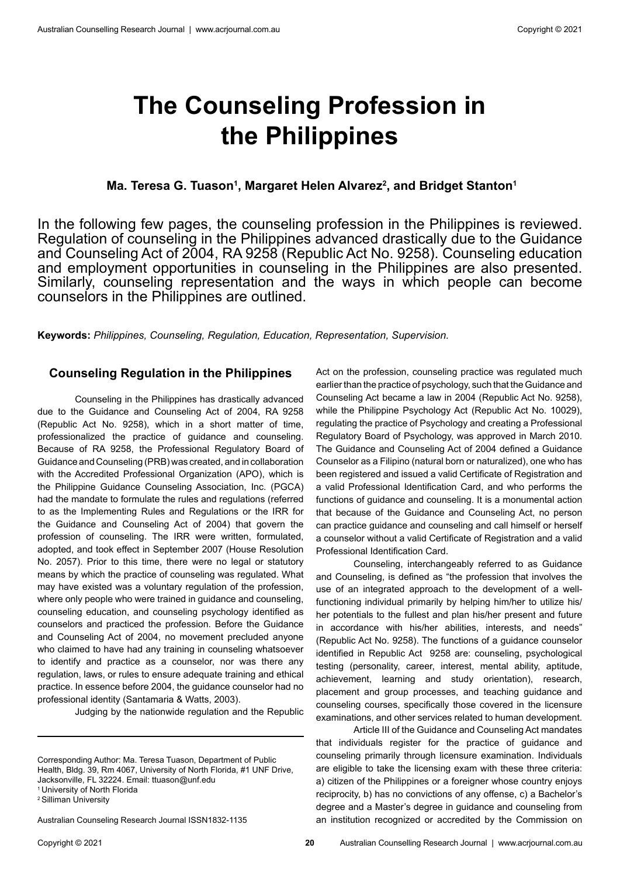# **The Counseling Profession in the Philippines**

# **Ma. Teresa G. Tuason1 , Margaret Helen Alvarez2 , and Bridget Stanton1**

In the following few pages, the counseling profession in the Philippines is reviewed. Regulation of counseling in the Philippines advanced drastically due to the Guidance and Counseling Act of 2004, RA 9258 (Republic Act No. 9258). Counseling education and employment opportunities in counseling in the Philippines are also presented. Similarly, counseling representation and the ways in which people can become counselors in the Philippines are outlined.

**Keywords:** *Philippines, Counseling, Regulation, Education, Representation, Supervision.* 

### **Counseling Regulation in the Philippines**

Counseling in the Philippines has drastically advanced due to the Guidance and Counseling Act of 2004, RA 9258 (Republic Act No. 9258), which in a short matter of time, professionalized the practice of guidance and counseling. Because of RA 9258, the Professional Regulatory Board of Guidance and Counseling (PRB) was created, and in collaboration with the Accredited Professional Organization (APO), which is the Philippine Guidance Counseling Association, Inc. (PGCA) had the mandate to formulate the rules and regulations (referred to as the Implementing Rules and Regulations or the IRR for the Guidance and Counseling Act of 2004) that govern the profession of counseling. The IRR were written, formulated, adopted, and took effect in September 2007 (House Resolution No. 2057). Prior to this time, there were no legal or statutory means by which the practice of counseling was regulated. What may have existed was a voluntary regulation of the profession, where only people who were trained in guidance and counseling, counseling education, and counseling psychology identified as counselors and practiced the profession. Before the Guidance and Counseling Act of 2004, no movement precluded anyone who claimed to have had any training in counseling whatsoever to identify and practice as a counselor, nor was there any regulation, laws, or rules to ensure adequate training and ethical practice. In essence before 2004, the guidance counselor had no professional identity (Santamaria & Watts, 2003).

Judging by the nationwide regulation and the Republic

1 University of North Florida

2 Silliman University

Australian Counseling Research Journal ISSN1832-1135

Act on the profession, counseling practice was regulated much earlier than the practice of psychology, such that the Guidance and Counseling Act became a law in 2004 (Republic Act No. 9258), while the Philippine Psychology Act (Republic Act No. 10029), regulating the practice of Psychology and creating a Professional Regulatory Board of Psychology, was approved in March 2010. The Guidance and Counseling Act of 2004 defined a Guidance Counselor as a Filipino (natural born or naturalized), one who has been registered and issued a valid Certificate of Registration and a valid Professional Identification Card, and who performs the functions of guidance and counseling. It is a monumental action that because of the Guidance and Counseling Act, no person can practice guidance and counseling and call himself or herself a counselor without a valid Certificate of Registration and a valid Professional Identification Card.

Counseling, interchangeably referred to as Guidance and Counseling, is defined as "the profession that involves the use of an integrated approach to the development of a wellfunctioning individual primarily by helping him/her to utilize his/ her potentials to the fullest and plan his/her present and future in accordance with his/her abilities, interests, and needs" (Republic Act No. 9258). The functions of a guidance counselor identified in Republic Act 9258 are: counseling, psychological testing (personality, career, interest, mental ability, aptitude, achievement, learning and study orientation), research, placement and group processes, and teaching guidance and counseling courses, specifically those covered in the licensure examinations, and other services related to human development.

Article III of the Guidance and Counseling Act mandates that individuals register for the practice of guidance and counseling primarily through licensure examination. Individuals are eligible to take the licensing exam with these three criteria: a) citizen of the Philippines or a foreigner whose country enjoys reciprocity, b) has no convictions of any offense, c) a Bachelor's degree and a Master's degree in guidance and counseling from an institution recognized or accredited by the Commission on

Corresponding Author: Ma. Teresa Tuason, Department of Public Health, Bldg. 39, Rm 4067, University of North Florida, #1 UNF Drive, Jacksonville, FL 32224. Email: ttuason@unf.edu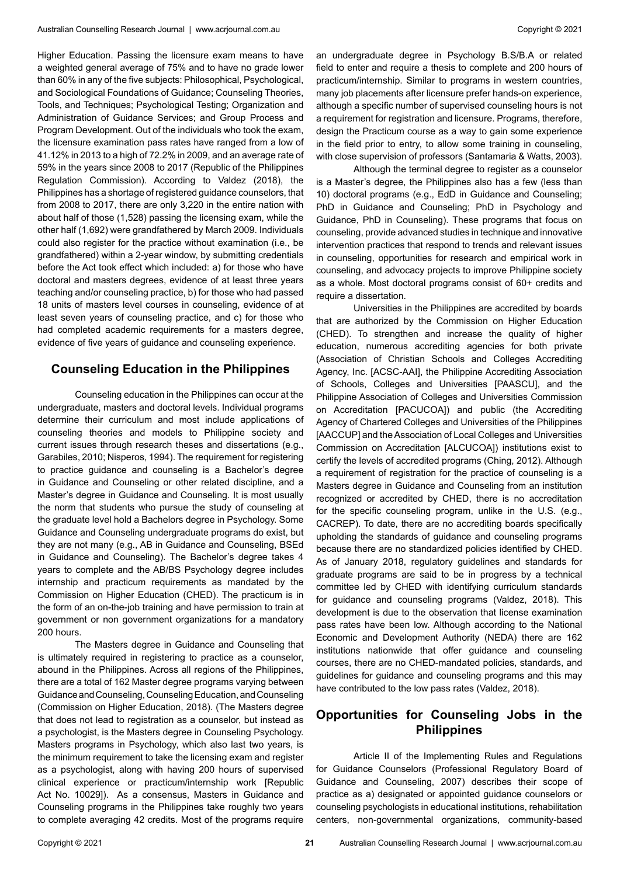Higher Education. Passing the licensure exam means to have a weighted general average of 75% and to have no grade lower than 60% in any of the five subjects: Philosophical, Psychological, and Sociological Foundations of Guidance; Counseling Theories, Tools, and Techniques; Psychological Testing; Organization and Administration of Guidance Services; and Group Process and Program Development. Out of the individuals who took the exam, the licensure examination pass rates have ranged from a low of 41.12% in 2013 to a high of 72.2% in 2009, and an average rate of 59% in the years since 2008 to 2017 (Republic of the Philippines Regulation Commission). According to Valdez (2018), the Philippines has a shortage of registered guidance counselors, that from 2008 to 2017, there are only 3,220 in the entire nation with about half of those (1,528) passing the licensing exam, while the other half (1,692) were grandfathered by March 2009. Individuals could also register for the practice without examination (i.e., be grandfathered) within a 2-year window, by submitting credentials before the Act took effect which included: a) for those who have doctoral and masters degrees, evidence of at least three years teaching and/or counseling practice, b) for those who had passed 18 units of masters level courses in counseling, evidence of at least seven years of counseling practice, and c) for those who had completed academic requirements for a masters degree. evidence of five years of guidance and counseling experience.

### **Counseling Education in the Philippines**

Counseling education in the Philippines can occur at the undergraduate, masters and doctoral levels. Individual programs determine their curriculum and most include applications of counseling theories and models to Philippine society and current issues through research theses and dissertations (e.g., Garabiles, 2010; Nisperos, 1994). The requirement for registering to practice guidance and counseling is a Bachelor's degree in Guidance and Counseling or other related discipline, and a Master's degree in Guidance and Counseling. It is most usually the norm that students who pursue the study of counseling at the graduate level hold a Bachelors degree in Psychology. Some Guidance and Counseling undergraduate programs do exist, but they are not many (e.g., AB in Guidance and Counseling, BSEd in Guidance and Counseling). The Bachelor's degree takes 4 years to complete and the AB/BS Psychology degree includes internship and practicum requirements as mandated by the Commission on Higher Education (CHED). The practicum is in the form of an on-the-job training and have permission to train at government or non government organizations for a mandatory 200 hours.

The Masters degree in Guidance and Counseling that is ultimately required in registering to practice as a counselor, abound in the Philippines. Across all regions of the Philippines, there are a total of 162 Master degree programs varying between Guidance and Counseling, Counseling Education, and Counseling (Commission on Higher Education, 2018). (The Masters degree that does not lead to registration as a counselor, but instead as a psychologist, is the Masters degree in Counseling Psychology. Masters programs in Psychology, which also last two years, is the minimum requirement to take the licensing exam and register as a psychologist, along with having 200 hours of supervised clinical experience or practicum/internship work [Republic Act No. 10029]). As a consensus, Masters in Guidance and Counseling programs in the Philippines take roughly two years to complete averaging 42 credits. Most of the programs require

an undergraduate degree in Psychology B.S/B.A or related field to enter and require a thesis to complete and 200 hours of practicum/internship. Similar to programs in western countries, many job placements after licensure prefer hands-on experience, although a specific number of supervised counseling hours is not a requirement for registration and licensure. Programs, therefore, design the Practicum course as a way to gain some experience in the field prior to entry, to allow some training in counseling, with close supervision of professors (Santamaria & Watts, 2003).

Although the terminal degree to register as a counselor is a Master's degree, the Philippines also has a few (less than 10) doctoral programs (e.g., EdD in Guidance and Counseling; PhD in Guidance and Counseling; PhD in Psychology and Guidance, PhD in Counseling). These programs that focus on counseling, provide advanced studies in technique and innovative intervention practices that respond to trends and relevant issues in counseling, opportunities for research and empirical work in counseling, and advocacy projects to improve Philippine society as a whole. Most doctoral programs consist of 60+ credits and require a dissertation.

Universities in the Philippines are accredited by boards that are authorized by the Commission on Higher Education (CHED). To strengthen and increase the quality of higher education, numerous accrediting agencies for both private (Association of Christian Schools and Colleges Accrediting Agency, Inc. [ACSC-AAI], the Philippine Accrediting Association of Schools, Colleges and Universities [PAASCU], and the Philippine Association of Colleges and Universities Commission on Accreditation [PACUCOA]) and public (the Accrediting Agency of Chartered Colleges and Universities of the Philippines [AACCUP] and the Association of Local Colleges and Universities Commission on Accreditation [ALCUCOA]) institutions exist to certify the levels of accredited programs (Ching, 2012). Although a requirement of registration for the practice of counseling is a Masters degree in Guidance and Counseling from an institution recognized or accredited by CHED, there is no accreditation for the specific counseling program, unlike in the U.S. (e.g., CACREP). To date, there are no accrediting boards specifically upholding the standards of guidance and counseling programs because there are no standardized policies identified by CHED. As of January 2018, regulatory guidelines and standards for graduate programs are said to be in progress by a technical committee led by CHED with identifying curriculum standards for guidance and counseling programs (Valdez, 2018). This development is due to the observation that license examination pass rates have been low. Although according to the National Economic and Development Authority (NEDA) there are 162 institutions nationwide that offer guidance and counseling courses, there are no CHED-mandated policies, standards, and guidelines for guidance and counseling programs and this may have contributed to the low pass rates (Valdez, 2018).

# **Opportunities for Counseling Jobs in the Philippines**

Article II of the Implementing Rules and Regulations for Guidance Counselors (Professional Regulatory Board of Guidance and Counseling, 2007) describes their scope of practice as a) designated or appointed guidance counselors or counseling psychologists in educational institutions, rehabilitation centers, non-governmental organizations, community-based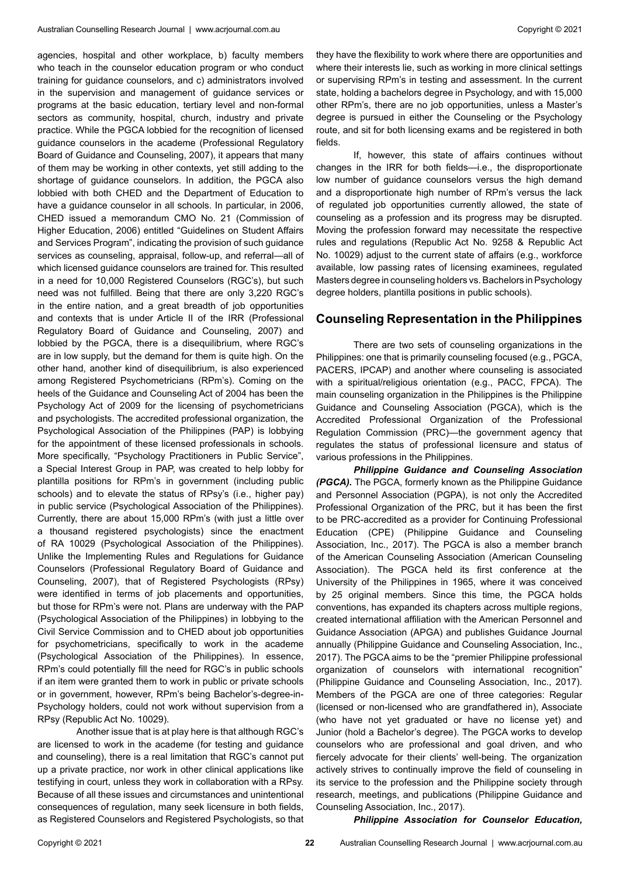agencies, hospital and other workplace, b) faculty members who teach in the counselor education program or who conduct training for guidance counselors, and c) administrators involved in the supervision and management of guidance services or programs at the basic education, tertiary level and non-formal sectors as community, hospital, church, industry and private practice. While the PGCA lobbied for the recognition of licensed guidance counselors in the academe (Professional Regulatory Board of Guidance and Counseling, 2007), it appears that many of them may be working in other contexts, yet still adding to the shortage of guidance counselors. In addition, the PGCA also lobbied with both CHED and the Department of Education to have a guidance counselor in all schools. In particular, in 2006, CHED issued a memorandum CMO No. 21 (Commission of Higher Education, 2006) entitled "Guidelines on Student Affairs and Services Program", indicating the provision of such guidance services as counseling, appraisal, follow-up, and referral—all of which licensed guidance counselors are trained for. This resulted in a need for 10,000 Registered Counselors (RGC's), but such need was not fulfilled. Being that there are only 3,220 RGC's in the entire nation, and a great breadth of job opportunities and contexts that is under Article II of the IRR (Professional Regulatory Board of Guidance and Counseling, 2007) and lobbied by the PGCA, there is a disequilibrium, where RGC's are in low supply, but the demand for them is quite high. On the other hand, another kind of disequilibrium, is also experienced among Registered Psychometricians (RPm's). Coming on the heels of the Guidance and Counseling Act of 2004 has been the Psychology Act of 2009 for the licensing of psychometricians and psychologists. The accredited professional organization, the Psychological Association of the Philippines (PAP) is lobbying for the appointment of these licensed professionals in schools. More specifically, "Psychology Practitioners in Public Service", a Special Interest Group in PAP, was created to help lobby for plantilla positions for RPm's in government (including public schools) and to elevate the status of RPsy's (i.e., higher pay) in public service (Psychological Association of the Philippines). Currently, there are about 15,000 RPm's (with just a little over a thousand registered psychologists) since the enactment of RA 10029 (Psychological Association of the Philippines). Unlike the Implementing Rules and Regulations for Guidance Counselors (Professional Regulatory Board of Guidance and Counseling, 2007), that of Registered Psychologists (RPsy) were identified in terms of job placements and opportunities, but those for RPm's were not. Plans are underway with the PAP (Psychological Association of the Philippines) in lobbying to the Civil Service Commission and to CHED about job opportunities for psychometricians, specifically to work in the academe (Psychological Association of the Philippines). In essence, RPm's could potentially fill the need for RGC's in public schools if an item were granted them to work in public or private schools or in government, however, RPm's being Bachelor's-degree-in-Psychology holders, could not work without supervision from a RPsy (Republic Act No. 10029).

 Another issue that is at play here is that although RGC's are licensed to work in the academe (for testing and guidance and counseling), there is a real limitation that RGC's cannot put up a private practice, nor work in other clinical applications like testifying in court, unless they work in collaboration with a RPsy. Because of all these issues and circumstances and unintentional consequences of regulation, many seek licensure in both fields, as Registered Counselors and Registered Psychologists, so that

they have the flexibility to work where there are opportunities and where their interests lie, such as working in more clinical settings or supervising RPm's in testing and assessment. In the current state, holding a bachelors degree in Psychology, and with 15,000 other RPm's, there are no job opportunities, unless a Master's degree is pursued in either the Counseling or the Psychology route, and sit for both licensing exams and be registered in both fields.

If, however, this state of affairs continues without changes in the IRR for both fields—i.e., the disproportionate low number of guidance counselors versus the high demand and a disproportionate high number of RPm's versus the lack of regulated job opportunities currently allowed, the state of counseling as a profession and its progress may be disrupted. Moving the profession forward may necessitate the respective rules and regulations (Republic Act No. 9258 & Republic Act No. 10029) adjust to the current state of affairs (e.g., workforce available, low passing rates of licensing examinees, regulated Masters degree in counseling holders vs. Bachelors in Psychology degree holders, plantilla positions in public schools).

### **Counseling Representation in the Philippines**

There are two sets of counseling organizations in the Philippines: one that is primarily counseling focused (e.g., PGCA, PACERS, IPCAP) and another where counseling is associated with a spiritual/religious orientation (e.g., PACC, FPCA). The main counseling organization in the Philippines is the Philippine Guidance and Counseling Association (PGCA), which is the Accredited Professional Organization of the Professional Regulation Commission (PRC)—the government agency that regulates the status of professional licensure and status of various professions in the Philippines.

*Philippine Guidance and Counseling Association (PGCA).* The PGCA, formerly known as the Philippine Guidance and Personnel Association (PGPA), is not only the Accredited Professional Organization of the PRC, but it has been the first to be PRC-accredited as a provider for Continuing Professional Education (CPE) (Philippine Guidance and Counseling Association, Inc., 2017). The PGCA is also a member branch of the American Counseling Association (American Counseling Association). The PGCA held its first conference at the University of the Philippines in 1965, where it was conceived by 25 original members. Since this time, the PGCA holds conventions, has expanded its chapters across multiple regions, created international affiliation with the American Personnel and Guidance Association (APGA) and publishes Guidance Journal annually (Philippine Guidance and Counseling Association, Inc., 2017). The PGCA aims to be the "premier Philippine professional organization of counselors with international recognition" (Philippine Guidance and Counseling Association, Inc., 2017). Members of the PGCA are one of three categories: Regular (licensed or non-licensed who are grandfathered in), Associate (who have not yet graduated or have no license yet) and Junior (hold a Bachelor's degree). The PGCA works to develop counselors who are professional and goal driven, and who fiercely advocate for their clients' well-being. The organization actively strives to continually improve the field of counseling in its service to the profession and the Philippine society through research, meetings, and publications (Philippine Guidance and Counseling Association, Inc., 2017).

#### *Philippine Association for Counselor Education,*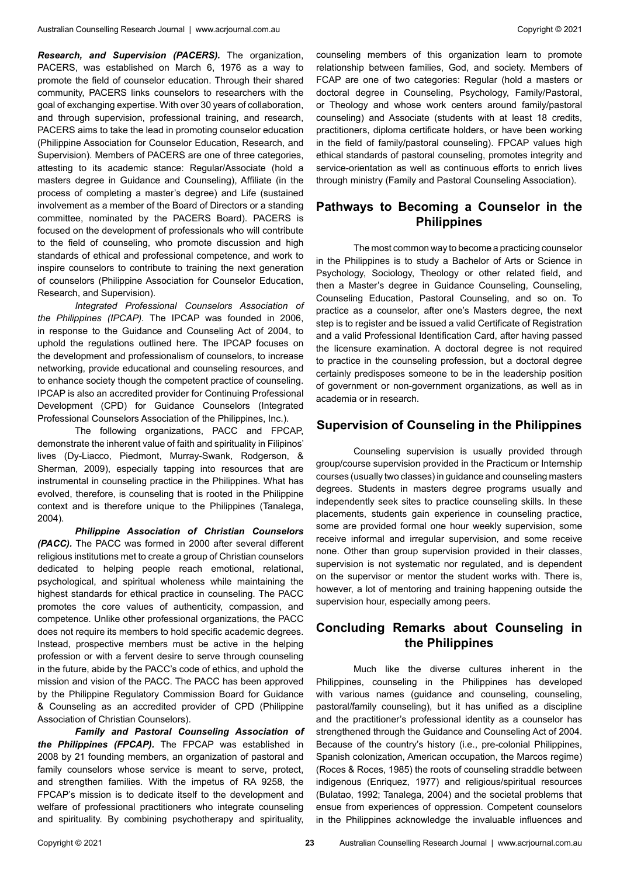*Research, and Supervision (PACERS).* The organization, PACERS, was established on March 6, 1976 as a way to promote the field of counselor education. Through their shared community, PACERS links counselors to researchers with the goal of exchanging expertise. With over 30 years of collaboration, and through supervision, professional training, and research, PACERS aims to take the lead in promoting counselor education (Philippine Association for Counselor Education, Research, and Supervision). Members of PACERS are one of three categories, attesting to its academic stance: Regular/Associate (hold a masters degree in Guidance and Counseling), Affiliate (in the process of completing a master's degree) and Life (sustained involvement as a member of the Board of Directors or a standing committee, nominated by the PACERS Board). PACERS is focused on the development of professionals who will contribute to the field of counseling, who promote discussion and high standards of ethical and professional competence, and work to inspire counselors to contribute to training the next generation of counselors (Philippine Association for Counselor Education, Research, and Supervision).

*Integrated Professional Counselors Association of the Philippines (IPCAP).* The IPCAP was founded in 2006, in response to the Guidance and Counseling Act of 2004, to uphold the regulations outlined here. The IPCAP focuses on the development and professionalism of counselors, to increase networking, provide educational and counseling resources, and to enhance society though the competent practice of counseling. IPCAP is also an accredited provider for Continuing Professional Development (CPD) for Guidance Counselors (Integrated Professional Counselors Association of the Philippines, Inc.).

The following organizations, PACC and FPCAP, demonstrate the inherent value of faith and spirituality in Filipinos' lives (Dy-Liacco, Piedmont, Murray-Swank, Rodgerson, & Sherman, 2009), especially tapping into resources that are instrumental in counseling practice in the Philippines. What has evolved, therefore, is counseling that is rooted in the Philippine context and is therefore unique to the Philippines (Tanalega, 2004).

*Philippine Association of Christian Counselors (PACC).* The PACC was formed in 2000 after several different religious institutions met to create a group of Christian counselors dedicated to helping people reach emotional, relational, psychological, and spiritual wholeness while maintaining the highest standards for ethical practice in counseling. The PACC promotes the core values of authenticity, compassion, and competence. Unlike other professional organizations, the PACC does not require its members to hold specific academic degrees. Instead, prospective members must be active in the helping profession or with a fervent desire to serve through counseling in the future, abide by the PACC's code of ethics, and uphold the mission and vision of the PACC. The PACC has been approved by the Philippine Regulatory Commission Board for Guidance & Counseling as an accredited provider of CPD (Philippine Association of Christian Counselors).

*Family and Pastoral Counseling Association of the Philippines (FPCAP).* The FPCAP was established in 2008 by 21 founding members, an organization of pastoral and family counselors whose service is meant to serve, protect, and strengthen families. With the impetus of RA 9258, the FPCAP's mission is to dedicate itself to the development and welfare of professional practitioners who integrate counseling and spirituality. By combining psychotherapy and spirituality,

counseling members of this organization learn to promote relationship between families, God, and society. Members of FCAP are one of two categories: Regular (hold a masters or doctoral degree in Counseling, Psychology, Family/Pastoral, or Theology and whose work centers around family/pastoral counseling) and Associate (students with at least 18 credits, practitioners, diploma certificate holders, or have been working in the field of family/pastoral counseling). FPCAP values high ethical standards of pastoral counseling, promotes integrity and service-orientation as well as continuous efforts to enrich lives through ministry (Family and Pastoral Counseling Association).

# **Pathways to Becoming a Counselor in the Philippines**

The most common way to become a practicing counselor in the Philippines is to study a Bachelor of Arts or Science in Psychology, Sociology, Theology or other related field, and then a Master's degree in Guidance Counseling, Counseling, Counseling Education, Pastoral Counseling, and so on. To practice as a counselor, after one's Masters degree, the next step is to register and be issued a valid Certificate of Registration and a valid Professional Identification Card, after having passed the licensure examination. A doctoral degree is not required to practice in the counseling profession, but a doctoral degree certainly predisposes someone to be in the leadership position of government or non-government organizations, as well as in academia or in research.

## **Supervision of Counseling in the Philippines**

Counseling supervision is usually provided through group/course supervision provided in the Practicum or Internship courses (usually two classes) in guidance and counseling masters degrees. Students in masters degree programs usually and independently seek sites to practice counseling skills. In these placements, students gain experience in counseling practice, some are provided formal one hour weekly supervision, some receive informal and irregular supervision, and some receive none. Other than group supervision provided in their classes, supervision is not systematic nor regulated, and is dependent on the supervisor or mentor the student works with. There is, however, a lot of mentoring and training happening outside the supervision hour, especially among peers.

# **Concluding Remarks about Counseling in the Philippines**

Much like the diverse cultures inherent in the Philippines, counseling in the Philippines has developed with various names (guidance and counseling, counseling, pastoral/family counseling), but it has unified as a discipline and the practitioner's professional identity as a counselor has strengthened through the Guidance and Counseling Act of 2004. Because of the country's history (i.e., pre-colonial Philippines, Spanish colonization, American occupation, the Marcos regime) (Roces & Roces, 1985) the roots of counseling straddle between indigenous (Enriquez, 1977) and religious/spiritual resources (Bulatao, 1992; Tanalega, 2004) and the societal problems that ensue from experiences of oppression. Competent counselors in the Philippines acknowledge the invaluable influences and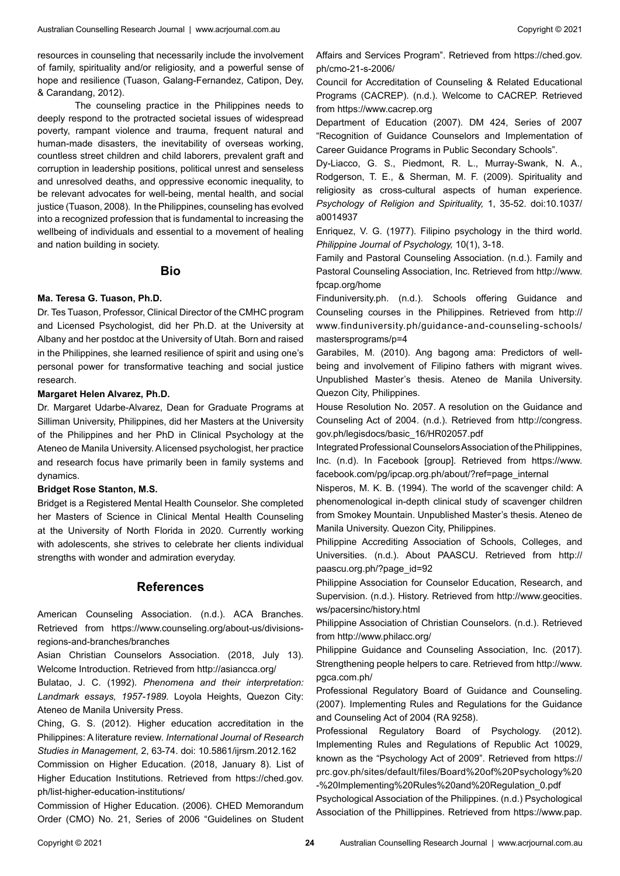resources in counseling that necessarily include the involvement of family, spirituality and/or religiosity, and a powerful sense of hope and resilience (Tuason, Galang-Fernandez, Catipon, Dey, & Carandang, 2012).

The counseling practice in the Philippines needs to deeply respond to the protracted societal issues of widespread poverty, rampant violence and trauma, frequent natural and human-made disasters, the inevitability of overseas working, countless street children and child laborers, prevalent graft and corruption in leadership positions, political unrest and senseless and unresolved deaths, and oppressive economic inequality, to be relevant advocates for well-being, mental health, and social justice (Tuason, 2008). In the Philippines, counseling has evolved into a recognized profession that is fundamental to increasing the wellbeing of individuals and essential to a movement of healing and nation building in society.

#### **Bio**

#### **Ma. Teresa G. Tuason, Ph.D.**

Dr. Tes Tuason, Professor, Clinical Director of the CMHC program and Licensed Psychologist, did her Ph.D. at the University at Albany and her postdoc at the University of Utah. Born and raised in the Philippines, she learned resilience of spirit and using one's personal power for transformative teaching and social justice research.

#### **Margaret Helen Alvarez, Ph.D.**

Dr. Margaret Udarbe-Alvarez, Dean for Graduate Programs at Silliman University, Philippines, did her Masters at the University of the Philippines and her PhD in Clinical Psychology at the Ateneo de Manila University. A licensed psychologist, her practice and research focus have primarily been in family systems and dynamics.

#### **Bridget Rose Stanton, M.S.**

Bridget is a Registered Mental Health Counselor. She completed her Masters of Science in Clinical Mental Health Counseling at the University of North Florida in 2020. Currently working with adolescents, she strives to celebrate her clients individual strengths with wonder and admiration everyday.

## **References**

American Counseling Association. (n.d.). ACA Branches. Retrieved from https://www.counseling.org/about-us/divisionsregions-and-branches/branches

Asian Christian Counselors Association. (2018, July 13). Welcome Introduction. Retrieved from http://asiancca.org/

Bulatao, J. C. (1992). *Phenomena and their interpretation: Landmark essays, 1957-1989.* Loyola Heights, Quezon City: Ateneo de Manila University Press.

Ching, G. S. (2012). Higher education accreditation in the Philippines: A literature review. *International Journal of Research Studies in Management,* 2, 63-74. doi: 10.5861/ijrsm.2012.162

Commission on Higher Education. (2018, January 8). List of Higher Education Institutions. Retrieved from https://ched.gov. ph/list-higher-education-institutions/

Commission of Higher Education. (2006). CHED Memorandum Order (CMO) No. 21, Series of 2006 "Guidelines on Student Affairs and Services Program". Retrieved from https://ched.gov. ph/cmo-21-s-2006/

Council for Accreditation of Counseling & Related Educational Programs (CACREP). (n.d.). Welcome to CACREP. Retrieved from https://www.cacrep.org

Department of Education (2007). DM 424, Series of 2007 "Recognition of Guidance Counselors and Implementation of Career Guidance Programs in Public Secondary Schools".

Dy-Liacco, G. S., Piedmont, R. L., Murray-Swank, N. A., Rodgerson, T. E., & Sherman, M. F. (2009). Spirituality and religiosity as cross-cultural aspects of human experience. *Psychology of Religion and Spirituality,* 1, 35-52. doi:10.1037/ a0014937

Enriquez, V. G. (1977). Filipino psychology in the third world. *Philippine Journal of Psychology,* 10(1), 3-18.

Family and Pastoral Counseling Association. (n.d.). Family and Pastoral Counseling Association, Inc. Retrieved from http://www. fpcap.org/home

Finduniversity.ph. (n.d.). Schools offering Guidance and Counseling courses in the Philippines. Retrieved from http:// www.finduniversity.ph/guidance-and-counseling-schools/ mastersprograms/p=4

Garabiles, M. (2010). Ang bagong ama: Predictors of wellbeing and involvement of Filipino fathers with migrant wives. Unpublished Master's thesis. Ateneo de Manila University. Quezon City, Philippines.

House Resolution No. 2057. A resolution on the Guidance and Counseling Act of 2004. (n.d.). Retrieved from http://congress. gov.ph/legisdocs/basic\_16/HR02057.pdf

Integrated Professional Counselors Association of the Philippines, Inc. (n.d). In Facebook [group]. Retrieved from https://www. facebook.com/pg/ipcap.org.ph/about/?ref=page\_internal

Nisperos, M. K. B. (1994). The world of the scavenger child: A phenomenological in-depth clinical study of scavenger children from Smokey Mountain. Unpublished Master's thesis. Ateneo de Manila University. Quezon City, Philippines.

Philippine Accrediting Association of Schools, Colleges, and Universities. (n.d.). About PAASCU. Retrieved from http:// paascu.org.ph/?page\_id=92

Philippine Association for Counselor Education, Research, and Supervision. (n.d.). History. Retrieved from http://www.geocities. ws/pacersinc/history.html

Philippine Association of Christian Counselors. (n.d.). Retrieved from http://www.philacc.org/

Philippine Guidance and Counseling Association, Inc. (2017). Strengthening people helpers to care. Retrieved from http://www. pgca.com.ph/

Professional Regulatory Board of Guidance and Counseling. (2007). Implementing Rules and Regulations for the Guidance and Counseling Act of 2004 (RA 9258).

Professional Regulatory Board of Psychology. (2012). Implementing Rules and Regulations of Republic Act 10029, known as the "Psychology Act of 2009". Retrieved from https:// prc.gov.ph/sites/default/files/Board%20of%20Psychology%20 -%20Implementing%20Rules%20and%20Regulation\_0.pdf

Psychological Association of the Philippines. (n.d.) Psychological Association of the Phillippines. Retrieved from https://www.pap.